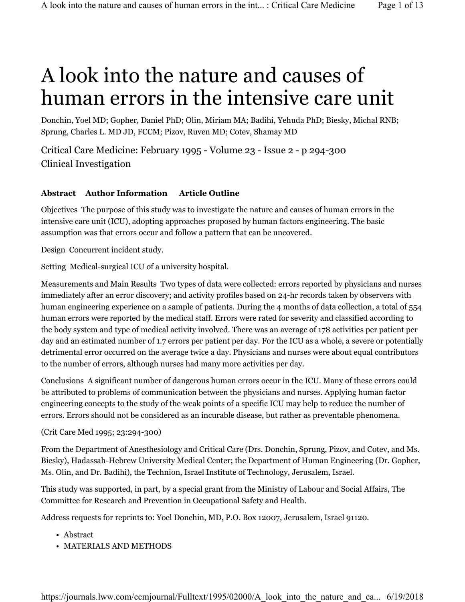# A look into the nature and causes of human errors in the intensive care unit

Donchin, Yoel MD; Gopher, Daniel PhD; Olin, Miriam MA; Badihi, Yehuda PhD; Biesky, Michal RNB; Sprung, Charles L. MD JD, FCCM; Pizov, Ruven MD; Cotev, Shamay MD

Critical Care Medicine: February 1995 - Volume 23 - Issue 2 - p 294-300 Clinical Investigation

#### Abstract Author Information Article Outline

Objectives The purpose of this study was to investigate the nature and causes of human errors in the intensive care unit (ICU), adopting approaches proposed by human factors engineering. The basic assumption was that errors occur and follow a pattern that can be uncovered.

Design Concurrent incident study.

Setting Medical-surgical ICU of a university hospital.

Measurements and Main Results Two types of data were collected: errors reported by physicians and nurses immediately after an error discovery; and activity profiles based on 24-hr records taken by observers with human engineering experience on a sample of patients. During the 4 months of data collection, a total of 554 human errors were reported by the medical staff. Errors were rated for severity and classified according to the body system and type of medical activity involved. There was an average of 178 activities per patient per day and an estimated number of 1.7 errors per patient per day. For the ICU as a whole, a severe or potentially detrimental error occurred on the average twice a day. Physicians and nurses were about equal contributors to the number of errors, although nurses had many more activities per day.

Conclusions A significant number of dangerous human errors occur in the ICU. Many of these errors could be attributed to problems of communication between the physicians and nurses. Applying human factor engineering concepts to the study of the weak points of a specific ICU may help to reduce the number of errors. Errors should not be considered as an incurable disease, but rather as preventable phenomena.

#### (Crit Care Med 1995; 23:294-300)

From the Department of Anesthesiology and Critical Care (Drs. Donchin, Sprung, Pizov, and Cotev, and Ms. Biesky), Hadassah-Hebrew University Medical Center; the Department of Human Engineering (Dr. Gopher, Ms. Olin, and Dr. Badihi), the Technion, Israel Institute of Technology, Jerusalem, Israel.

This study was supported, in part, by a special grant from the Ministry of Labour and Social Affairs, The Committee for Research and Prevention in Occupational Safety and Health.

Address requests for reprints to: Yoel Donchin, MD, P.O. Box 12007, Jerusalem, Israel 91120.

- Abstract
- MATERIALS AND METHODS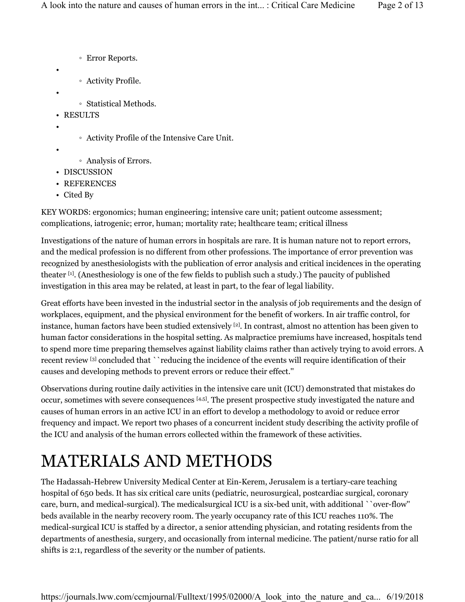- Error Reports.
- Activity Profile.
- •

•

- Statistical Methods.
- RESULTS
- •
- Activity Profile of the Intensive Care Unit.
- •
- Analysis of Errors.
- DISCUSSION
- REFERENCES
- Cited By

KEY WORDS: ergonomics; human engineering; intensive care unit; patient outcome assessment; complications, iatrogenic; error, human; mortality rate; healthcare team; critical illness

Investigations of the nature of human errors in hospitals are rare. It is human nature not to report errors, and the medical profession is no different from other professions. The importance of error prevention was recognized by anesthesiologists with the publication of error analysis and critical incidences in the operating theater <sup>[1]</sup>. (Anesthesiology is one of the few fields to publish such a study.) The paucity of published investigation in this area may be related, at least in part, to the fear of legal liability.

Great efforts have been invested in the industrial sector in the analysis of job requirements and the design of workplaces, equipment, and the physical environment for the benefit of workers. In air traffic control, for instance, human factors have been studied extensively  $[2]$ . In contrast, almost no attention has been given to human factor considerations in the hospital setting. As malpractice premiums have increased, hospitals tend to spend more time preparing themselves against liability claims rather than actively trying to avoid errors. A recent review <sup>[3]</sup> concluded that ``reducing the incidence of the events will require identification of their causes and developing methods to prevent errors or reduce their effect.''

Observations during routine daily activities in the intensive care unit (ICU) demonstrated that mistakes do occur, sometimes with severe consequences [4,5]. The present prospective study investigated the nature and causes of human errors in an active ICU in an effort to develop a methodology to avoid or reduce error frequency and impact. We report two phases of a concurrent incident study describing the activity profile of the ICU and analysis of the human errors collected within the framework of these activities.

## MATERIALS AND METHODS

The Hadassah-Hebrew University Medical Center at Ein-Kerem, Jerusalem is a tertiary-care teaching hospital of 650 beds. It has six critical care units (pediatric, neurosurgical, postcardiac surgical, coronary care, burn, and medical-surgical). The medicalsurgical ICU is a six-bed unit, with additional ``over-flow'' beds available in the nearby recovery room. The yearly occupancy rate of this ICU reaches 110%. The medical-surgical ICU is staffed by a director, a senior attending physician, and rotating residents from the departments of anesthesia, surgery, and occasionally from internal medicine. The patient/nurse ratio for all shifts is 2:1, regardless of the severity or the number of patients.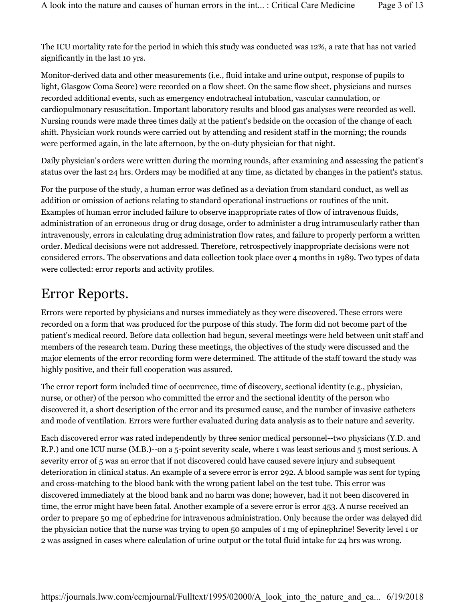The ICU mortality rate for the period in which this study was conducted was 12%, a rate that has not varied significantly in the last 10 yrs.

Monitor-derived data and other measurements (i.e., fluid intake and urine output, response of pupils to light, Glasgow Coma Score) were recorded on a flow sheet. On the same flow sheet, physicians and nurses recorded additional events, such as emergency endotracheal intubation, vascular cannulation, or cardiopulmonary resuscitation. Important laboratory results and blood gas analyses were recorded as well. Nursing rounds were made three times daily at the patient's bedside on the occasion of the change of each shift. Physician work rounds were carried out by attending and resident staff in the morning; the rounds were performed again, in the late afternoon, by the on-duty physician for that night.

Daily physician's orders were written during the morning rounds, after examining and assessing the patient's status over the last 24 hrs. Orders may be modified at any time, as dictated by changes in the patient's status.

For the purpose of the study, a human error was defined as a deviation from standard conduct, as well as addition or omission of actions relating to standard operational instructions or routines of the unit. Examples of human error included failure to observe inappropriate rates of flow of intravenous fluids, administration of an erroneous drug or drug dosage, order to administer a drug intramuscularly rather than intravenously, errors in calculating drug administration flow rates, and failure to properly perform a written order. Medical decisions were not addressed. Therefore, retrospectively inappropriate decisions were not considered errors. The observations and data collection took place over 4 months in 1989. Two types of data were collected: error reports and activity profiles.

#### Error Reports.

Errors were reported by physicians and nurses immediately as they were discovered. These errors were recorded on a form that was produced for the purpose of this study. The form did not become part of the patient's medical record. Before data collection had begun, several meetings were held between unit staff and members of the research team. During these meetings, the objectives of the study were discussed and the major elements of the error recording form were determined. The attitude of the staff toward the study was highly positive, and their full cooperation was assured.

The error report form included time of occurrence, time of discovery, sectional identity (e.g., physician, nurse, or other) of the person who committed the error and the sectional identity of the person who discovered it, a short description of the error and its presumed cause, and the number of invasive catheters and mode of ventilation. Errors were further evaluated during data analysis as to their nature and severity.

Each discovered error was rated independently by three senior medical personnel--two physicians (Y.D. and R.P.) and one ICU nurse (M.B.)--on a 5-point severity scale, where 1 was least serious and 5 most serious. A severity error of 5 was an error that if not discovered could have caused severe injury and subsequent deterioration in clinical status. An example of a severe error is error 292. A blood sample was sent for typing and cross-matching to the blood bank with the wrong patient label on the test tube. This error was discovered immediately at the blood bank and no harm was done; however, had it not been discovered in time, the error might have been fatal. Another example of a severe error is error 453. A nurse received an order to prepare 50 mg of ephedrine for intravenous administration. Only because the order was delayed did the physician notice that the nurse was trying to open 50 ampules of 1 mg of epinephrine! Severity level 1 or 2 was assigned in cases where calculation of urine output or the total fluid intake for 24 hrs was wrong.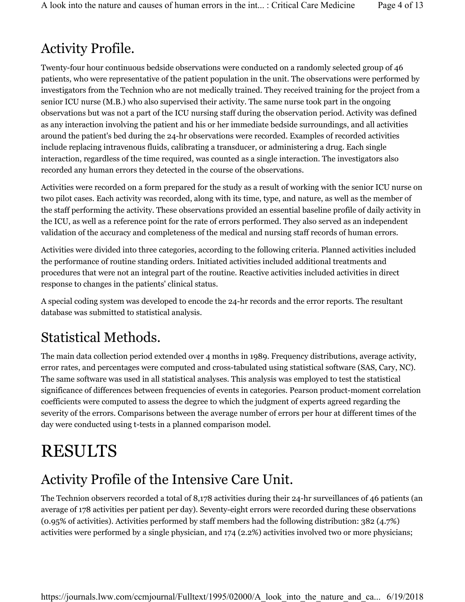### Activity Profile.

Twenty-four hour continuous bedside observations were conducted on a randomly selected group of 46 patients, who were representative of the patient population in the unit. The observations were performed by investigators from the Technion who are not medically trained. They received training for the project from a senior ICU nurse (M.B.) who also supervised their activity. The same nurse took part in the ongoing observations but was not a part of the ICU nursing staff during the observation period. Activity was defined as any interaction involving the patient and his or her immediate bedside surroundings, and all activities around the patient's bed during the 24-hr observations were recorded. Examples of recorded activities include replacing intravenous fluids, calibrating a transducer, or administering a drug. Each single interaction, regardless of the time required, was counted as a single interaction. The investigators also recorded any human errors they detected in the course of the observations.

Activities were recorded on a form prepared for the study as a result of working with the senior ICU nurse on two pilot cases. Each activity was recorded, along with its time, type, and nature, as well as the member of the staff performing the activity. These observations provided an essential baseline profile of daily activity in the ICU, as well as a reference point for the rate of errors performed. They also served as an independent validation of the accuracy and completeness of the medical and nursing staff records of human errors.

Activities were divided into three categories, according to the following criteria. Planned activities included the performance of routine standing orders. Initiated activities included additional treatments and procedures that were not an integral part of the routine. Reactive activities included activities in direct response to changes in the patients' clinical status.

A special coding system was developed to encode the 24-hr records and the error reports. The resultant database was submitted to statistical analysis.

### Statistical Methods.

The main data collection period extended over 4 months in 1989. Frequency distributions, average activity, error rates, and percentages were computed and cross-tabulated using statistical software (SAS, Cary, NC). The same software was used in all statistical analyses. This analysis was employed to test the statistical significance of differences between frequencies of events in categories. Pearson product-moment correlation coefficients were computed to assess the degree to which the judgment of experts agreed regarding the severity of the errors. Comparisons between the average number of errors per hour at different times of the day were conducted using t-tests in a planned comparison model.

### RESULTS

### Activity Profile of the Intensive Care Unit.

The Technion observers recorded a total of 8,178 activities during their 24-hr surveillances of 46 patients (an average of 178 activities per patient per day). Seventy-eight errors were recorded during these observations (0.95% of activities). Activities performed by staff members had the following distribution: 382 (4.7%) activities were performed by a single physician, and 174 (2.2%) activities involved two or more physicians;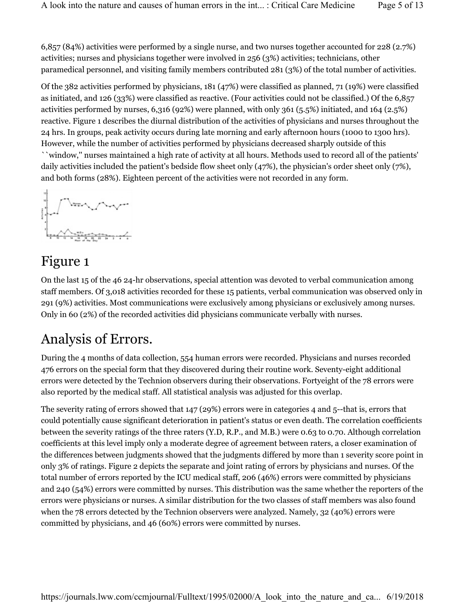6,857 (84%) activities were performed by a single nurse, and two nurses together accounted for 228 (2.7%) activities; nurses and physicians together were involved in 256 (3%) activities; technicians, other paramedical personnel, and visiting family members contributed 281 (3%) of the total number of activities.

Of the 382 activities performed by physicians, 181 (47%) were classified as planned, 71 (19%) were classified as initiated, and 126 (33%) were classified as reactive. (Four activities could not be classified.) Of the 6,857 activities performed by nurses, 6,316 (92%) were planned, with only 361 (5.5%) initiated, and 164 (2.5%) reactive. Figure 1 describes the diurnal distribution of the activities of physicians and nurses throughout the 24 hrs. In groups, peak activity occurs during late morning and early afternoon hours (1000 to 1300 hrs). However, while the number of activities performed by physicians decreased sharply outside of this ``window,'' nurses maintained a high rate of activity at all hours. Methods used to record all of the patients' daily activities included the patient's bedside flow sheet only (47%), the physician's order sheet only (7%), and both forms (28%). Eighteen percent of the activities were not recorded in any form.

#### Figure 1

On the last 15 of the 46 24-hr observations, special attention was devoted to verbal communication among staff members. Of 3,018 activities recorded for these 15 patients, verbal communication was observed only in 291 (9%) activities. Most communications were exclusively among physicians or exclusively among nurses. Only in 60 (2%) of the recorded activities did physicians communicate verbally with nurses.

### Analysis of Errors.

During the 4 months of data collection, 554 human errors were recorded. Physicians and nurses recorded 476 errors on the special form that they discovered during their routine work. Seventy-eight additional errors were detected by the Technion observers during their observations. Fortyeight of the 78 errors were also reported by the medical staff. All statistical analysis was adjusted for this overlap.

The severity rating of errors showed that 147 (29%) errors were in categories 4 and 5--that is, errors that could potentially cause significant deterioration in patient's status or even death. The correlation coefficients between the severity ratings of the three raters (Y.D, R.P., and M.B.) were 0.63 to 0.70. Although correlation coefficients at this level imply only a moderate degree of agreement between raters, a closer examination of the differences between judgments showed that the judgments differed by more than 1 severity score point in only 3% of ratings. Figure 2 depicts the separate and joint rating of errors by physicians and nurses. Of the total number of errors reported by the ICU medical staff, 206 (46%) errors were committed by physicians and 240 (54%) errors were committed by nurses. This distribution was the same whether the reporters of the errors were physicians or nurses. A similar distribution for the two classes of staff members was also found when the 78 errors detected by the Technion observers were analyzed. Namely, 32 (40%) errors were committed by physicians, and 46 (60%) errors were committed by nurses.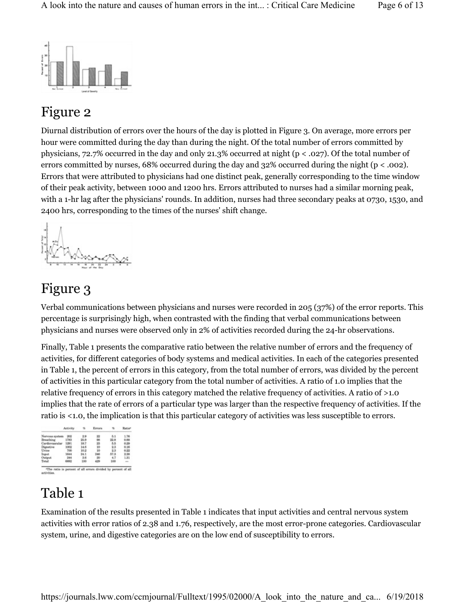

### Figure 2

Diurnal distribution of errors over the hours of the day is plotted in Figure 3. On average, more errors per hour were committed during the day than during the night. Of the total number of errors committed by physicians, 72.7% occurred in the day and only 21.3% occurred at night (p < .027). Of the total number of errors committed by nurses,  $68\%$  occurred during the day and  $32\%$  occurred during the night (p < .002). Errors that were attributed to physicians had one distinct peak, generally corresponding to the time window of their peak activity, between 1000 and 1200 hrs. Errors attributed to nurses had a similar morning peak, with a 1-hr lag after the physicians' rounds. In addition, nurses had three secondary peaks at 0730, 1530, and 2400 hrs, corresponding to the times of the nurses' shift change.



### Figure 3

Verbal communications between physicians and nurses were recorded in 205 (37%) of the error reports. This percentage is surprisingly high, when contrasted with the finding that verbal communications between physicians and nurses were observed only in 2% of activities recorded during the 24-hr observations.

Finally, Table 1 presents the comparative ratio between the relative number of errors and the frequency of activities, for different categories of body systems and medical activities. In each of the categories presented in Table 1, the percent of errors in this category, from the total number of errors, was divided by the percent of activities in this particular category from the total number of activities. A ratio of 1.0 implies that the relative frequency of errors in this category matched the relative frequency of activities. A ratio of >1.0 implies that the rate of errors of a particular type was larger than the respective frequency of activities. If the ratio is <1.0, the implication is that this particular category of activities was less susceptible to errors.

|                | Activity |      | <b>Errors</b> |      | <b>Blatist</b>           |
|----------------|----------|------|---------------|------|--------------------------|
| Nervous system | $-200$   | 29   | 22            | õ. I | 1.76                     |
| Breathing      | 1783     | 95.9 | 549           | 22.8 | 0.88                     |
| Cardiovaarular | 1291     | 18.7 | 23            | 5.5  | 0.29                     |
| Digestive      | 1002     | 14.6 | 30            | 23   | 0.16                     |
| Urine          | 700      | 10.2 | 10            | 2.3  | 0.22                     |
| Input.         | 1644     | 34.1 | 346           | 57.3 | 2.38                     |
| Output         | 344      | 3.6  | 50            | 4.7  | 1.31                     |
| Total          | 6892     | 500  | 429           | 500  | $\overline{\phantom{a}}$ |

### Table 1

Examination of the results presented in Table 1 indicates that input activities and central nervous system activities with error ratios of 2.38 and 1.76, respectively, are the most error-prone categories. Cardiovascular system, urine, and digestive categories are on the low end of susceptibility to errors.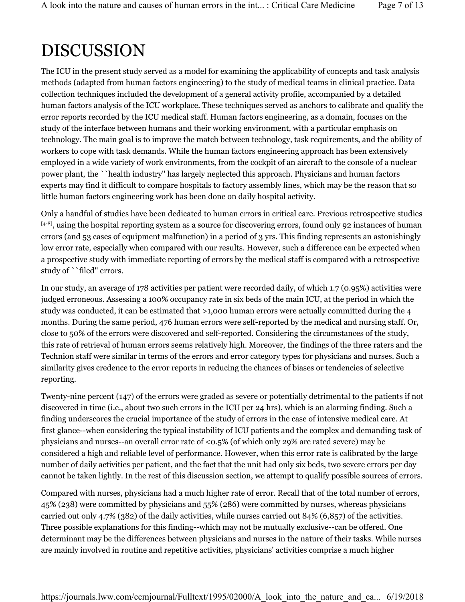## DISCUSSION

The ICU in the present study served as a model for examining the applicability of concepts and task analysis methods (adapted from human factors engineering) to the study of medical teams in clinical practice. Data collection techniques included the development of a general activity profile, accompanied by a detailed human factors analysis of the ICU workplace. These techniques served as anchors to calibrate and qualify the error reports recorded by the ICU medical staff. Human factors engineering, as a domain, focuses on the study of the interface between humans and their working environment, with a particular emphasis on technology. The main goal is to improve the match between technology, task requirements, and the ability of workers to cope with task demands. While the human factors engineering approach has been extensively employed in a wide variety of work environments, from the cockpit of an aircraft to the console of a nuclear power plant, the ``health industry'' has largely neglected this approach. Physicians and human factors experts may find it difficult to compare hospitals to factory assembly lines, which may be the reason that so little human factors engineering work has been done on daily hospital activity.

Only a handful of studies have been dedicated to human errors in critical care. Previous retrospective studies  $[4-8]$ , using the hospital reporting system as a source for discovering errors, found only 92 instances of human errors (and 53 cases of equipment malfunction) in a period of 3 yrs. This finding represents an astonishingly low error rate, especially when compared with our results. However, such a difference can be expected when a prospective study with immediate reporting of errors by the medical staff is compared with a retrospective study of ``filed'' errors.

In our study, an average of 178 activities per patient were recorded daily, of which 1.7 (0.95%) activities were judged erroneous. Assessing a 100% occupancy rate in six beds of the main ICU, at the period in which the study was conducted, it can be estimated that >1,000 human errors were actually committed during the 4 months. During the same period, 476 human errors were self-reported by the medical and nursing staff. Or, close to 50% of the errors were discovered and self-reported. Considering the circumstances of the study, this rate of retrieval of human errors seems relatively high. Moreover, the findings of the three raters and the Technion staff were similar in terms of the errors and error category types for physicians and nurses. Such a similarity gives credence to the error reports in reducing the chances of biases or tendencies of selective reporting.

Twenty-nine percent (147) of the errors were graded as severe or potentially detrimental to the patients if not discovered in time (i.e., about two such errors in the ICU per 24 hrs), which is an alarming finding. Such a finding underscores the crucial importance of the study of errors in the case of intensive medical care. At first glance--when considering the typical instability of ICU patients and the complex and demanding task of physicians and nurses--an overall error rate of <0.5% (of which only 29% are rated severe) may be considered a high and reliable level of performance. However, when this error rate is calibrated by the large number of daily activities per patient, and the fact that the unit had only six beds, two severe errors per day cannot be taken lightly. In the rest of this discussion section, we attempt to qualify possible sources of errors.

Compared with nurses, physicians had a much higher rate of error. Recall that of the total number of errors, 45% (238) were committed by physicians and 55% (286) were committed by nurses, whereas physicians carried out only 4.7% (382) of the daily activities, while nurses carried out 84% (6,857) of the activities. Three possible explanations for this finding--which may not be mutually exclusive--can be offered. One determinant may be the differences between physicians and nurses in the nature of their tasks. While nurses are mainly involved in routine and repetitive activities, physicians' activities comprise a much higher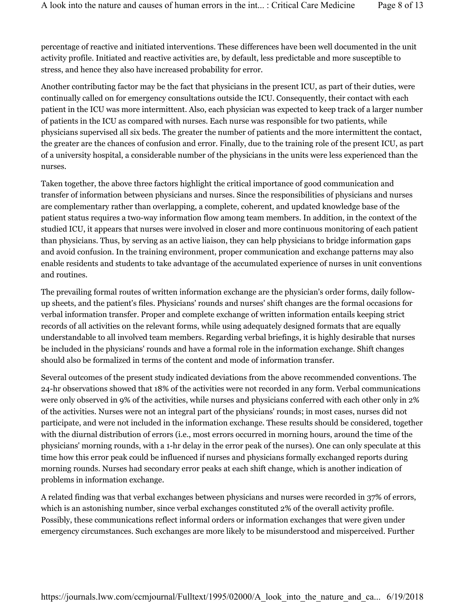percentage of reactive and initiated interventions. These differences have been well documented in the unit activity profile. Initiated and reactive activities are, by default, less predictable and more susceptible to stress, and hence they also have increased probability for error.

Another contributing factor may be the fact that physicians in the present ICU, as part of their duties, were continually called on for emergency consultations outside the ICU. Consequently, their contact with each patient in the ICU was more intermittent. Also, each physician was expected to keep track of a larger number of patients in the ICU as compared with nurses. Each nurse was responsible for two patients, while physicians supervised all six beds. The greater the number of patients and the more intermittent the contact, the greater are the chances of confusion and error. Finally, due to the training role of the present ICU, as part of a university hospital, a considerable number of the physicians in the units were less experienced than the nurses.

Taken together, the above three factors highlight the critical importance of good communication and transfer of information between physicians and nurses. Since the responsibilities of physicians and nurses are complementary rather than overlapping, a complete, coherent, and updated knowledge base of the patient status requires a two-way information flow among team members. In addition, in the context of the studied ICU, it appears that nurses were involved in closer and more continuous monitoring of each patient than physicians. Thus, by serving as an active liaison, they can help physicians to bridge information gaps and avoid confusion. In the training environment, proper communication and exchange patterns may also enable residents and students to take advantage of the accumulated experience of nurses in unit conventions and routines.

The prevailing formal routes of written information exchange are the physician's order forms, daily followup sheets, and the patient's files. Physicians' rounds and nurses' shift changes are the formal occasions for verbal information transfer. Proper and complete exchange of written information entails keeping strict records of all activities on the relevant forms, while using adequately designed formats that are equally understandable to all involved team members. Regarding verbal briefings, it is highly desirable that nurses be included in the physicians' rounds and have a formal role in the information exchange. Shift changes should also be formalized in terms of the content and mode of information transfer.

Several outcomes of the present study indicated deviations from the above recommended conventions. The 24-hr observations showed that 18% of the activities were not recorded in any form. Verbal communications were only observed in 9% of the activities, while nurses and physicians conferred with each other only in 2% of the activities. Nurses were not an integral part of the physicians' rounds; in most cases, nurses did not participate, and were not included in the information exchange. These results should be considered, together with the diurnal distribution of errors (i.e., most errors occurred in morning hours, around the time of the physicians' morning rounds, with a 1-hr delay in the error peak of the nurses). One can only speculate at this time how this error peak could be influenced if nurses and physicians formally exchanged reports during morning rounds. Nurses had secondary error peaks at each shift change, which is another indication of problems in information exchange.

A related finding was that verbal exchanges between physicians and nurses were recorded in 37% of errors, which is an astonishing number, since verbal exchanges constituted 2% of the overall activity profile. Possibly, these communications reflect informal orders or information exchanges that were given under emergency circumstances. Such exchanges are more likely to be misunderstood and misperceived. Further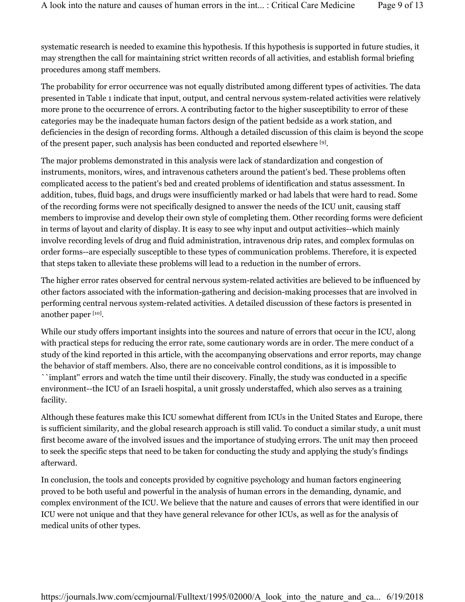systematic research is needed to examine this hypothesis. If this hypothesis is supported in future studies, it may strengthen the call for maintaining strict written records of all activities, and establish formal briefing procedures among staff members.

The probability for error occurrence was not equally distributed among different types of activities. The data presented in Table 1 indicate that input, output, and central nervous system-related activities were relatively more prone to the occurrence of errors. A contributing factor to the higher susceptibility to error of these categories may be the inadequate human factors design of the patient bedside as a work station, and deficiencies in the design of recording forms. Although a detailed discussion of this claim is beyond the scope of the present paper, such analysis has been conducted and reported elsewhere <sup>[9]</sup>.

The major problems demonstrated in this analysis were lack of standardization and congestion of instruments, monitors, wires, and intravenous catheters around the patient's bed. These problems often complicated access to the patient's bed and created problems of identification and status assessment. In addition, tubes, fluid bags, and drugs were insufficiently marked or had labels that were hard to read. Some of the recording forms were not specifically designed to answer the needs of the ICU unit, causing staff members to improvise and develop their own style of completing them. Other recording forms were deficient in terms of layout and clarity of display. It is easy to see why input and output activities--which mainly involve recording levels of drug and fluid administration, intravenous drip rates, and complex formulas on order forms--are especially susceptible to these types of communication problems. Therefore, it is expected that steps taken to alleviate these problems will lead to a reduction in the number of errors.

The higher error rates observed for central nervous system-related activities are believed to be influenced by other factors associated with the information-gathering and decision-making processes that are involved in performing central nervous system-related activities. A detailed discussion of these factors is presented in another paper [10].

While our study offers important insights into the sources and nature of errors that occur in the ICU, along with practical steps for reducing the error rate, some cautionary words are in order. The mere conduct of a study of the kind reported in this article, with the accompanying observations and error reports, may change the behavior of staff members. Also, there are no conceivable control conditions, as it is impossible to ``implant'' errors and watch the time until their discovery. Finally, the study was conducted in a specific environment--the ICU of an Israeli hospital, a unit grossly understaffed, which also serves as a training facility.

Although these features make this ICU somewhat different from ICUs in the United States and Europe, there is sufficient similarity, and the global research approach is still valid. To conduct a similar study, a unit must first become aware of the involved issues and the importance of studying errors. The unit may then proceed to seek the specific steps that need to be taken for conducting the study and applying the study's findings afterward.

In conclusion, the tools and concepts provided by cognitive psychology and human factors engineering proved to be both useful and powerful in the analysis of human errors in the demanding, dynamic, and complex environment of the ICU. We believe that the nature and causes of errors that were identified in our ICU were not unique and that they have general relevance for other ICUs, as well as for the analysis of medical units of other types.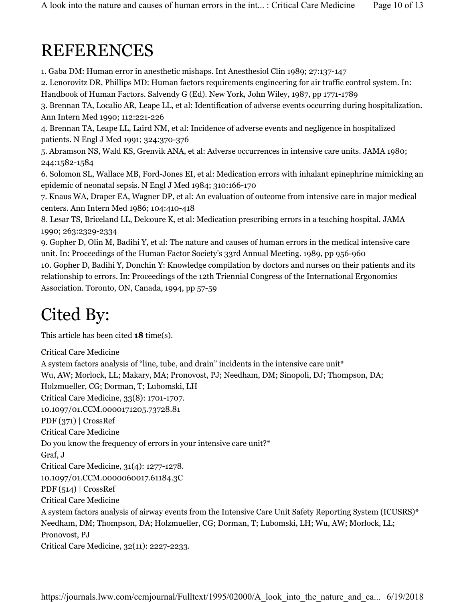### REFERENCES

1. Gaba DM: Human error in anesthetic mishaps. Int Anesthesiol Clin 1989; 27:137-147

2. Lenorovitz DR, Phillips MD: Human factors requirements engineering for air traffic control system. In:

Handbook of Human Factors. Salvendy G (Ed). New York, John Wiley, 1987, pp 1771-1789

3. Brennan TA, Localio AR, Leape LL, et al: Identification of adverse events occurring during hospitalization. Ann Intern Med 1990; 112:221-226

4. Brennan TA, Leape LL, Laird NM, et al: Incidence of adverse events and negligence in hospitalized patients. N Engl J Med 1991; 324:370-376

5. Abramson NS, Wald KS, Grenvik ANA, et al: Adverse occurrences in intensive care units. JAMA 1980; 244:1582-1584

6. Solomon SL, Wallace MB, Ford-Jones EI, et al: Medication errors with inhalant epinephrine mimicking an epidemic of neonatal sepsis. N Engl J Med 1984; 310:166-170

7. Knaus WA, Draper EA, Wagner DP, et al: An evaluation of outcome from intensive care in major medical centers. Ann Intern Med 1986; 104:410-418

8. Lesar TS, Briceland LL, Delcoure K, et al: Medication prescribing errors in a teaching hospital. JAMA 1990; 263:2329-2334

9. Gopher D, Olin M, Badihi Y, et al: The nature and causes of human errors in the medical intensive care unit. In: Proceedings of the Human Factor Society's 33rd Annual Meeting. 1989, pp 956-960 10. Gopher D, Badihi Y, Donchin Y: Knowledge compilation by doctors and nurses on their patients and its

relationship to errors. In: Proceedings of the 12th Triennial Congress of the International Ergonomics Association. Toronto, ON, Canada, 1994, pp 57-59

## Cited By:

This article has been cited 18 time(s).

Critical Care Medicine A system factors analysis of "line, tube, and drain" incidents in the intensive care unit\* Wu, AW; Morlock, LL; Makary, MA; Pronovost, PJ; Needham, DM; Sinopoli, DJ; Thompson, DA; Holzmueller, CG; Dorman, T; Lubomski, LH Critical Care Medicine, 33(8): 1701-1707. 10.1097/01.CCM.0000171205.73728.81 PDF (371) | CrossRef Critical Care Medicine Do you know the frequency of errors in your intensive care unit?\* Graf, J Critical Care Medicine, 31(4): 1277-1278. 10.1097/01.CCM.0000060017.61184.3C PDF (514) | CrossRef Critical Care Medicine A system factors analysis of airway events from the Intensive Care Unit Safety Reporting System (ICUSRS)\* Needham, DM; Thompson, DA; Holzmueller, CG; Dorman, T; Lubomski, LH; Wu, AW; Morlock, LL; Pronovost, PJ Critical Care Medicine, 32(11): 2227-2233.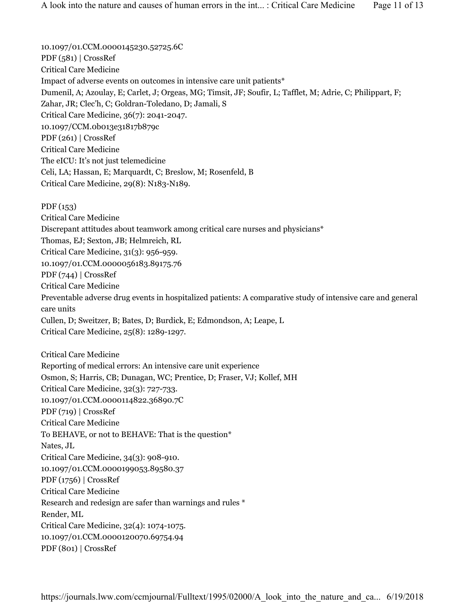10.1097/01.CCM.0000145230.52725.6C PDF (581) | CrossRef Critical Care Medicine Impact of adverse events on outcomes in intensive care unit patients\* Dumenil, A; Azoulay, E; Carlet, J; Orgeas, MG; Timsit, JF; Soufir, L; Tafflet, M; Adrie, C; Philippart, F; Zahar, JR; Clec'h, C; Goldran-Toledano, D; Jamali, S Critical Care Medicine, 36(7): 2041-2047. 10.1097/CCM.0b013e31817b879c PDF (261) | CrossRef Critical Care Medicine The eICU: It's not just telemedicine Celi, LA; Hassan, E; Marquardt, C; Breslow, M; Rosenfeld, B Critical Care Medicine, 29(8): N183-N189.

PDF (153) Critical Care Medicine Discrepant attitudes about teamwork among critical care nurses and physicians\* Thomas, EJ; Sexton, JB; Helmreich, RL Critical Care Medicine, 31(3): 956-959. 10.1097/01.CCM.0000056183.89175.76 PDF (744) | CrossRef Critical Care Medicine Preventable adverse drug events in hospitalized patients: A comparative study of intensive care and general care units Cullen, D; Sweitzer, B; Bates, D; Burdick, E; Edmondson, A; Leape, L

Critical Care Medicine, 25(8): 1289-1297.

Critical Care Medicine Reporting of medical errors: An intensive care unit experience Osmon, S; Harris, CB; Dunagan, WC; Prentice, D; Fraser, VJ; Kollef, MH Critical Care Medicine, 32(3): 727-733. 10.1097/01.CCM.0000114822.36890.7C PDF (719) | CrossRef Critical Care Medicine To BEHAVE, or not to BEHAVE: That is the question\* Nates, JL Critical Care Medicine, 34(3): 908-910. 10.1097/01.CCM.0000199053.89580.37 PDF (1756) | CrossRef Critical Care Medicine Research and redesign are safer than warnings and rules \* Render, ML Critical Care Medicine, 32(4): 1074-1075. 10.1097/01.CCM.0000120070.69754.94 PDF (801) | CrossRef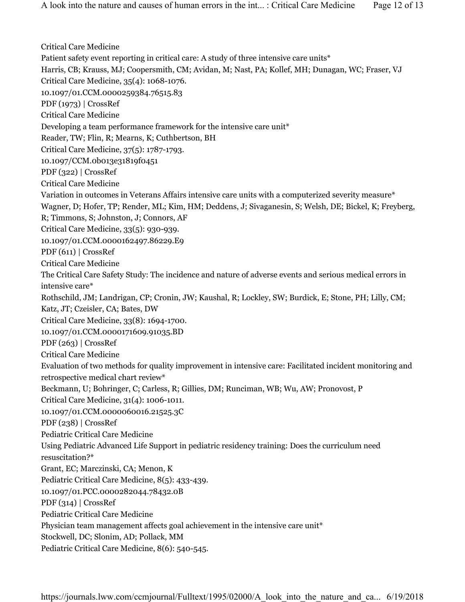Critical Care Medicine Patient safety event reporting in critical care: A study of three intensive care units\* Harris, CB; Krauss, MJ; Coopersmith, CM; Avidan, M; Nast, PA; Kollef, MH; Dunagan, WC; Fraser, VJ Critical Care Medicine, 35(4): 1068-1076. 10.1097/01.CCM.0000259384.76515.83 PDF (1973) | CrossRef Critical Care Medicine Developing a team performance framework for the intensive care unit\* Reader, TW; Flin, R; Mearns, K; Cuthbertson, BH Critical Care Medicine, 37(5): 1787-1793. 10.1097/CCM.0b013e31819f0451 PDF (322) | CrossRef Critical Care Medicine Variation in outcomes in Veterans Affairs intensive care units with a computerized severity measure\* Wagner, D; Hofer, TP; Render, ML; Kim, HM; Deddens, J; Sivaganesin, S; Welsh, DE; Bickel, K; Freyberg, R; Timmons, S; Johnston, J; Connors, AF Critical Care Medicine, 33(5): 930-939. 10.1097/01.CCM.0000162497.86229.E9 PDF (611) | CrossRef Critical Care Medicine The Critical Care Safety Study: The incidence and nature of adverse events and serious medical errors in intensive care\* Rothschild, JM; Landrigan, CP; Cronin, JW; Kaushal, R; Lockley, SW; Burdick, E; Stone, PH; Lilly, CM; Katz, JT; Czeisler, CA; Bates, DW Critical Care Medicine, 33(8): 1694-1700. 10.1097/01.CCM.0000171609.91035.BD PDF (263) | CrossRef Critical Care Medicine Evaluation of two methods for quality improvement in intensive care: Facilitated incident monitoring and retrospective medical chart review\* Beckmann, U; Bohringer, C; Carless, R; Gillies, DM; Runciman, WB; Wu, AW; Pronovost, P Critical Care Medicine, 31(4): 1006-1011. 10.1097/01.CCM.0000060016.21525.3C PDF (238) | CrossRef Pediatric Critical Care Medicine Using Pediatric Advanced Life Support in pediatric residency training: Does the curriculum need resuscitation?\* Grant, EC; Marczinski, CA; Menon, K Pediatric Critical Care Medicine, 8(5): 433-439. 10.1097/01.PCC.0000282044.78432.0B PDF (314) | CrossRef Pediatric Critical Care Medicine Physician team management affects goal achievement in the intensive care unit\* Stockwell, DC; Slonim, AD; Pollack, MM Pediatric Critical Care Medicine, 8(6): 540-545.